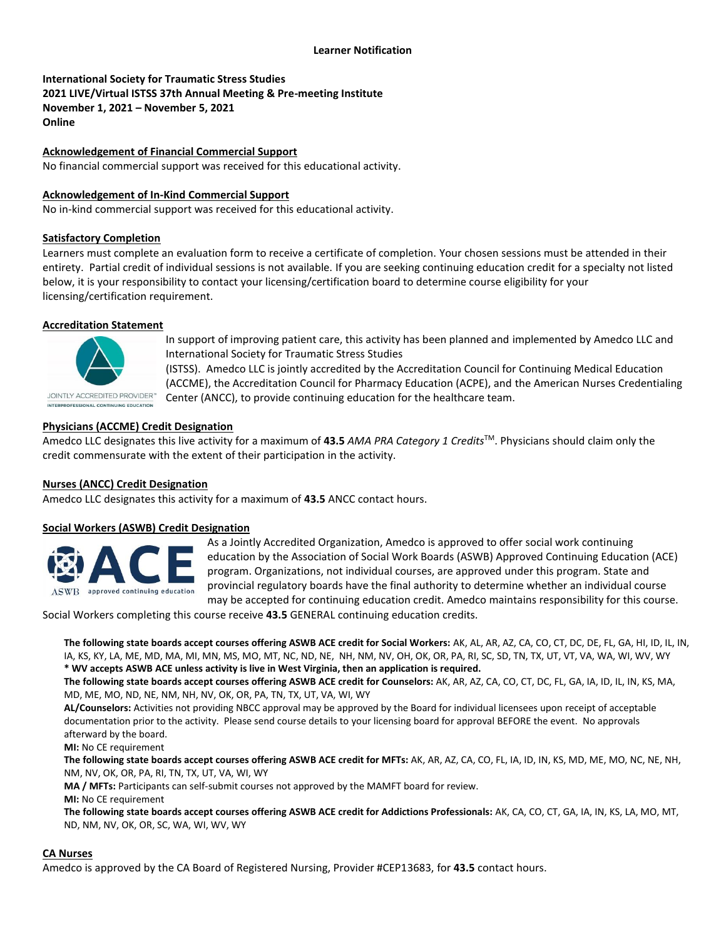**International Society for Traumatic Stress Studies 2021 LIVE/Virtual ISTSS 37th Annual Meeting & Pre-meeting Institute November 1, 2021 – November 5, 2021 Online**

**Acknowledgement of Financial Commercial Support**

No financial commercial support was received for this educational activity.

### **Acknowledgement of In-Kind Commercial Support**

No in-kind commercial support was received for this educational activity.

### **Satisfactory Completion**

Learners must complete an evaluation form to receive a certificate of completion. Your chosen sessions must be attended in their entirety. Partial credit of individual sessions is not available. If you are seeking continuing education credit for a specialty not listed below, it is your responsibility to contact your licensing/certification board to determine course eligibility for your licensing/certification requirement.

#### **Accreditation Statement**



In support of improving patient care, this activity has been planned and implemented by Amedco LLC and International Society for Traumatic Stress Studies

**JOINTLY ACCREDITED PROVIDER** INTERPROFESSIONAL CONTINUING EDUCATION

(ISTSS). Amedco LLC is jointly accredited by the Accreditation Council for Continuing Medical Education (ACCME), the Accreditation Council for Pharmacy Education (ACPE), and the American Nurses Credentialing Center (ANCC), to provide continuing education for the healthcare team.

## **Physicians (ACCME) Credit Designation**

Amedco LLC designates this live activity for a maximum of **43.5** *AMA PRA Category 1 Credits*TM. Physicians should claim only the credit commensurate with the extent of their participation in the activity.

### **Nurses (ANCC) Credit Designation**

Amedco LLC designates this activity for a maximum of **43.5** ANCC contact hours.

### **Social Workers (ASWB) Credit Designation**



As a Jointly Accredited Organization, Amedco is approved to offer social work continuing education by the Association of Social Work Boards (ASWB) Approved Continuing Education (ACE) program. Organizations, not individual courses, are approved under this program. State and provincial regulatory boards have the final authority to determine whether an individual course may be accepted for continuing education credit. Amedco maintains responsibility for this course.

Social Workers completing this course receive **43.5** GENERAL continuing education credits.

**The following state boards accept courses offering ASWB ACE credit for Social Workers:** AK, AL, AR, AZ, CA, CO, CT, DC, DE, FL, GA, HI, ID, IL, IN, IA, KS, KY, LA, ME, MD, MA, MI, MN, MS, MO, MT, NC, ND, NE, NH, NM, NV, OH, OK, OR, PA, RI, SC, SD, TN, TX, UT, VT, VA, WA, WI, WV, WY **\* WV accepts ASWB ACE unless activity is live in West Virginia, then an application is required.**

**The following state boards accept courses offering ASWB ACE credit for Counselors:** AK, AR, AZ, CA, CO, CT, DC, FL, GA, IA, ID, IL, IN, KS, MA, MD, ME, MO, ND, NE, NM, NH, NV, OK, OR, PA, TN, TX, UT, VA, WI, WY

**AL/Counselors:** Activities not providing NBCC approval may be approved by the Board for individual licensees upon receipt of acceptable documentation prior to the activity. Please send course details to your licensing board for approval BEFORE the event. No approvals afterward by the board.

**MI:** No CE requirement

**The following state boards accept courses offering ASWB ACE credit for MFTs:** AK, AR, AZ, CA, CO, FL, IA, ID, IN, KS, MD, ME, MO, NC, NE, NH, NM, NV, OK, OR, PA, RI, TN, TX, UT, VA, WI, WY

**MA / MFTs:** Participants can self-submit courses not approved by the MAMFT board for review.

**MI:** No CE requirement

**The following state boards accept courses offering ASWB ACE credit for Addictions Professionals:** AK, CA, CO, CT, GA, IA, IN, KS, LA, MO, MT, ND, NM, NV, OK, OR, SC, WA, WI, WV, WY

### **CA Nurses**

Amedco is approved by the CA Board of Registered Nursing, Provider #CEP13683, for **43.5** contact hours.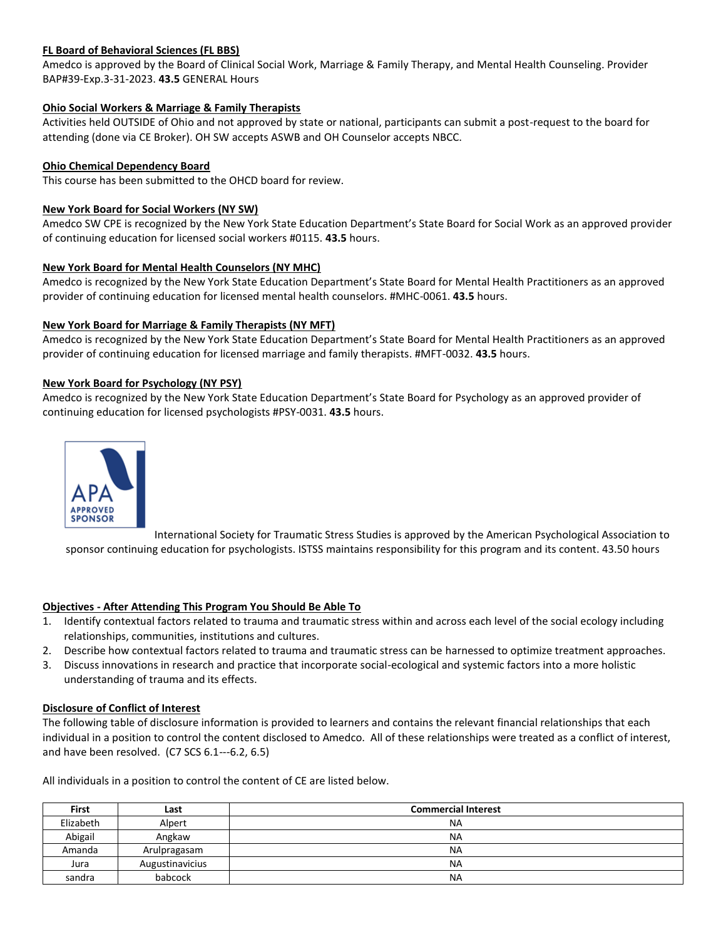# **FL Board of Behavioral Sciences (FL BBS)**

Amedco is approved by the Board of Clinical Social Work, Marriage & Family Therapy, and Mental Health Counseling. Provider BAP#39-Exp.3-31-2023. **43.5** GENERAL Hours

## **Ohio Social Workers & Marriage & Family Therapists**

Activities held OUTSIDE of Ohio and not approved by state or national, participants can submit a post-request to the board for attending (done via CE Broker). OH SW accepts ASWB and OH Counselor accepts NBCC.

## **Ohio Chemical Dependency Board**

This course has been submitted to the OHCD board for review.

## **New York Board for Social Workers (NY SW)**

Amedco SW CPE is recognized by the New York State Education Department's State Board for Social Work as an approved provider of continuing education for licensed social workers #0115. **43.5** hours.

## **New York Board for Mental Health Counselors (NY MHC)**

Amedco is recognized by the New York State Education Department's State Board for Mental Health Practitioners as an approved provider of continuing education for licensed mental health counselors. #MHC-0061. **43.5** hours.

## **New York Board for Marriage & Family Therapists (NY MFT)**

Amedco is recognized by the New York State Education Department's State Board for Mental Health Practitioners as an approved provider of continuing education for licensed marriage and family therapists. #MFT-0032. **43.5** hours.

### **New York Board for Psychology (NY PSY)**

Amedco is recognized by the New York State Education Department's State Board for Psychology as an approved provider of continuing education for licensed psychologists #PSY-0031. **43.5** hours.



International Society for Traumatic Stress Studies is approved by the American Psychological Association to sponsor continuing education for psychologists. ISTSS maintains responsibility for this program and its content. 43.50 hours

### **Objectives - After Attending This Program You Should Be Able To**

- 1. Identify contextual factors related to trauma and traumatic stress within and across each level of the social ecology including relationships, communities, institutions and cultures.
- 2. Describe how contextual factors related to trauma and traumatic stress can be harnessed to optimize treatment approaches.
- 3. Discuss innovations in research and practice that incorporate social-ecological and systemic factors into a more holistic understanding of trauma and its effects.

### **Disclosure of Conflict of Interest**

The following table of disclosure information is provided to learners and contains the relevant financial relationships that each individual in a position to control the content disclosed to Amedco. All of these relationships were treated as a conflict of interest, and have been resolved. (C7 SCS 6.1--‐6.2, 6.5)

All individuals in a position to control the content of CE are listed below.

| <b>First</b> | Last            | <b>Commercial Interest</b> |
|--------------|-----------------|----------------------------|
| Elizabeth    | Alpert          | <b>NA</b>                  |
| Abigail      | Angkaw          | <b>NA</b>                  |
| Amanda       | Arulpragasam    | <b>NA</b>                  |
| Jura         | Augustinavicius | <b>NA</b>                  |
| sandra       | babcock         | <b>NA</b>                  |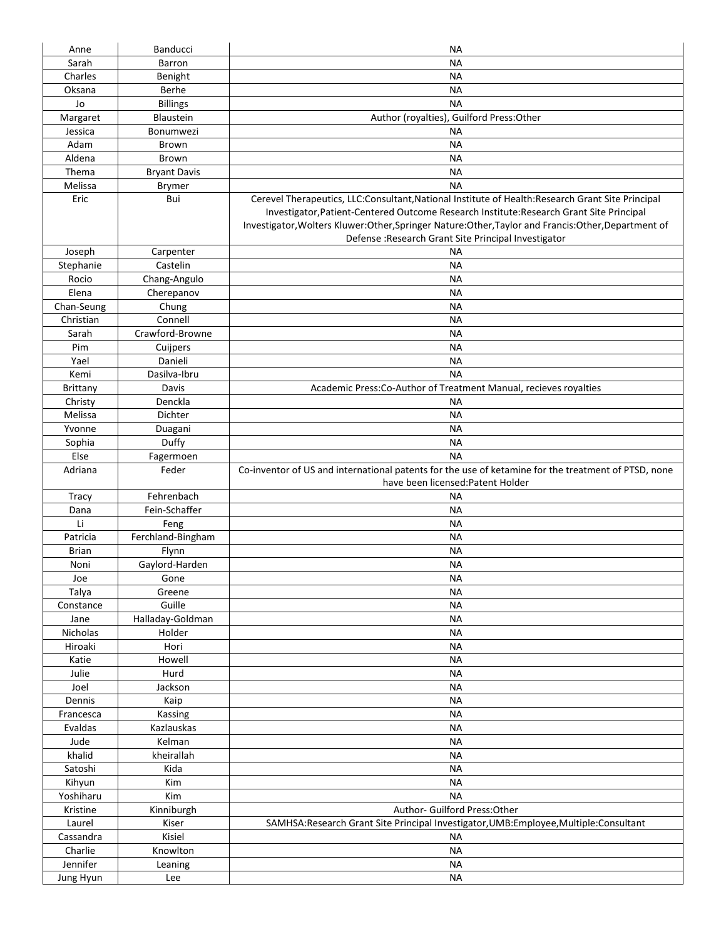| Anne                  | <b>Banducci</b>     | NА                                                                                                    |
|-----------------------|---------------------|-------------------------------------------------------------------------------------------------------|
| Sarah                 | <b>Barron</b>       | <b>NA</b>                                                                                             |
| Charles               | Benight             | NА                                                                                                    |
| Oksana                | Berhe               | NА                                                                                                    |
| Jo                    | <b>Billings</b>     | <b>NA</b>                                                                                             |
| Margaret              | Blaustein           | Author (royalties), Guilford Press: Other                                                             |
| Jessica               | Bonumwezi           | NА                                                                                                    |
| Adam                  | <b>Brown</b>        | <b>NA</b>                                                                                             |
| Aldena                | <b>Brown</b>        | NА                                                                                                    |
| Thema                 | <b>Bryant Davis</b> | NА                                                                                                    |
| Melissa               | <b>Brymer</b>       | <b>NA</b>                                                                                             |
| Eric                  | Bui                 | Cerevel Therapeutics, LLC:Consultant, National Institute of Health: Research Grant Site Principal     |
|                       |                     | Investigator, Patient-Centered Outcome Research Institute: Research Grant Site Principal              |
|                       |                     | Investigator, Wolters Kluwer: Other, Springer Nature: Other, Taylor and Francis: Other, Department of |
|                       |                     | Defense : Research Grant Site Principal Investigator                                                  |
| Joseph                | Carpenter           | <b>NA</b>                                                                                             |
| Stephanie             | Castelin            | <b>NA</b>                                                                                             |
| Rocio                 | Chang-Angulo        | ΝA                                                                                                    |
| Elena                 | Cherepanov          | NА                                                                                                    |
| Chan-Seung            | Chung               | NА                                                                                                    |
| Christian             | Connell             | <b>NA</b>                                                                                             |
| Sarah                 | Crawford-Browne     |                                                                                                       |
|                       |                     | NА                                                                                                    |
| Pim                   | Cuijpers            | NА                                                                                                    |
| Yael                  | Danieli             | NА                                                                                                    |
| Kemi                  | Dasilva-Ibru        | <b>NA</b>                                                                                             |
| <b>Brittany</b>       | Davis               | Academic Press:Co-Author of Treatment Manual, recieves royalties                                      |
| Christy               | Denckla             | <b>NA</b>                                                                                             |
| Melissa               | <b>Dichter</b>      | NА                                                                                                    |
| Yvonne                | Duagani             | <b>NA</b>                                                                                             |
| Sophia                | Duffy               | <b>NA</b>                                                                                             |
| Else                  | Fagermoen           | <b>NA</b>                                                                                             |
| Adriana               | Feder               | Co-inventor of US and international patents for the use of ketamine for the treatment of PTSD, none   |
|                       |                     |                                                                                                       |
|                       |                     | have been licensed: Patent Holder                                                                     |
| Tracy                 | Fehrenbach          | NА                                                                                                    |
| Dana                  | Fein-Schaffer       | <b>NA</b>                                                                                             |
| Li                    | Feng                | NА                                                                                                    |
| Patricia              | Ferchland-Bingham   | NА                                                                                                    |
| <b>Brian</b>          | Flynn               | <b>NA</b>                                                                                             |
| Noni                  | Gaylord-Harden      | NА                                                                                                    |
| Joe                   | Gone                | NА                                                                                                    |
| Talya                 | Greene              | <b>NA</b>                                                                                             |
| Constance             | Guille              | <b>NA</b>                                                                                             |
| Jane                  | Halladay-Goldman    | <b>NA</b>                                                                                             |
| Nicholas              | Holder              | <b>NA</b>                                                                                             |
| Hiroaki               | Hori                | <b>NA</b>                                                                                             |
| Katie                 | Howell              | <b>NA</b>                                                                                             |
| Julie                 | Hurd                | <b>NA</b>                                                                                             |
|                       |                     |                                                                                                       |
| Joel                  | Jackson             | <b>NA</b>                                                                                             |
| Dennis                | Kaip                | <b>NA</b>                                                                                             |
| Francesca             | Kassing             | <b>NA</b>                                                                                             |
| Evaldas               | Kazlauskas          | ΝA                                                                                                    |
| Jude                  | Kelman              | ΝA                                                                                                    |
| khalid                | kheirallah          | <b>NA</b>                                                                                             |
| Satoshi               | Kida                | <b>NA</b>                                                                                             |
| Kihyun                | Kim                 | <b>NA</b>                                                                                             |
| Yoshiharu             | Kim                 | <b>NA</b>                                                                                             |
| Kristine              | Kinniburgh          | Author- Guilford Press: Other                                                                         |
| Laurel                | Kiser               | SAMHSA: Research Grant Site Principal Investigator, UMB: Employee, Multiple: Consultant               |
| Cassandra             | Kisiel              | ΝA                                                                                                    |
| Charlie               | Knowlton            | <b>NA</b>                                                                                             |
| Jennifer<br>Jung Hyun | Leaning<br>Lee      | <b>NA</b><br><b>NA</b>                                                                                |